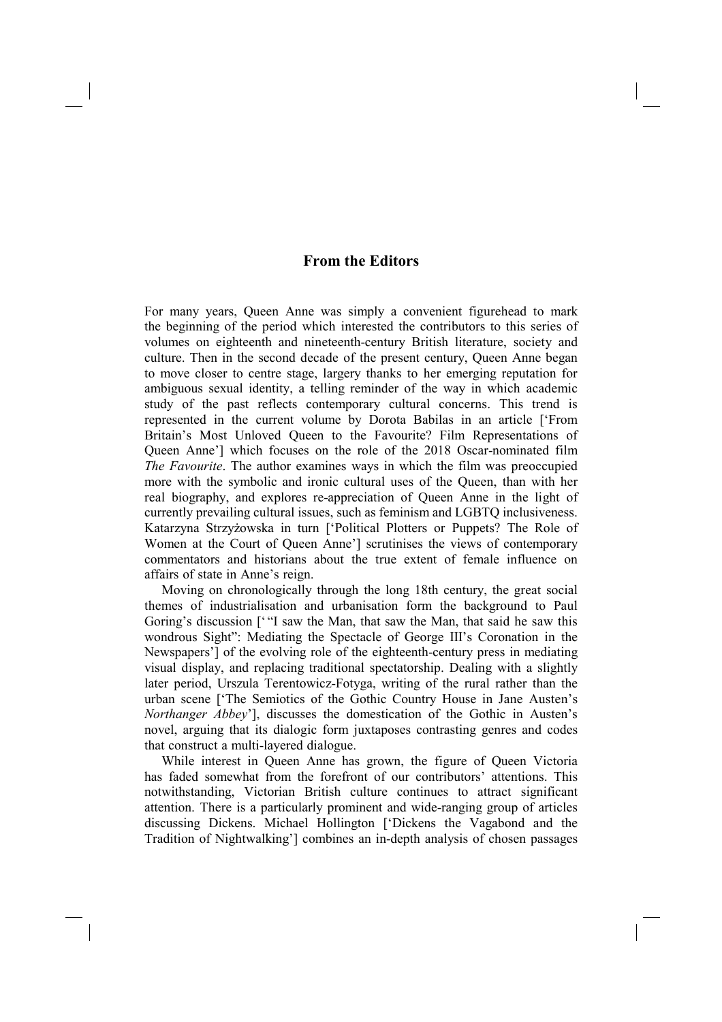## **From the Editors**

For many years, Queen Anne was simply a convenient figurehead to mark the beginning of the period which interested the contributors to this series of volumes on eighteenth and nineteenth-century British literature, society and culture. Then in the second decade of the present century, Queen Anne began to move closer to centre stage, largery thanks to her emerging reputation for ambiguous sexual identity, a telling reminder of the way in which academic study of the past reflects contemporary cultural concerns. This trend is represented in the current volume by Dorota Babilas in an article ['From Britain's Most Unloved Queen to the Favourite? Film Representations of Queen Anne'] which focuses on the role of the 2018 Oscar-nominated film *The Favourite*. The author examines ways in which the film was preoccupied more with the symbolic and ironic cultural uses of the Queen, than with her real biography, and explores re-appreciation of Queen Anne in the light of currently prevailing cultural issues, such as feminism and LGBTQ inclusiveness. Katarzyna Strzyżowska in turn ['Political Plotters or Puppets? The Role of Women at the Court of Queen Anne'] scrutinises the views of contemporary commentators and historians about the true extent of female influence on affairs of state in Anne's reign.

Moving on chronologically through the long 18th century, the great social themes of industrialisation and urbanisation form the background to Paul Goring's discussion [""I saw the Man, that saw the Man, that said he saw this wondrous Sight": Mediating the Spectacle of George III's Coronation in the Newspapers'] of the evolving role of the eighteenth-century press in mediating visual display, and replacing traditional spectatorship. Dealing with a slightly later period, Urszula Terentowicz-Fotyga, writing of the rural rather than the urban scene ['The Semiotics of the Gothic Country House in Jane Austen's *Northanger Abbey*'], discusses the domestication of the Gothic in Austen's novel, arguing that its dialogic form juxtaposes contrasting genres and codes that construct a multi-layered dialogue.

While interest in Queen Anne has grown, the figure of Queen Victoria has faded somewhat from the forefront of our contributors' attentions. This notwithstanding, Victorian British culture continues to attract significant attention. There is a particularly prominent and wide-ranging group of articles discussing Dickens. Michael Hollington ['Dickens the Vagabond and the Tradition of Nightwalking'] combines an in-depth analysis of chosen passages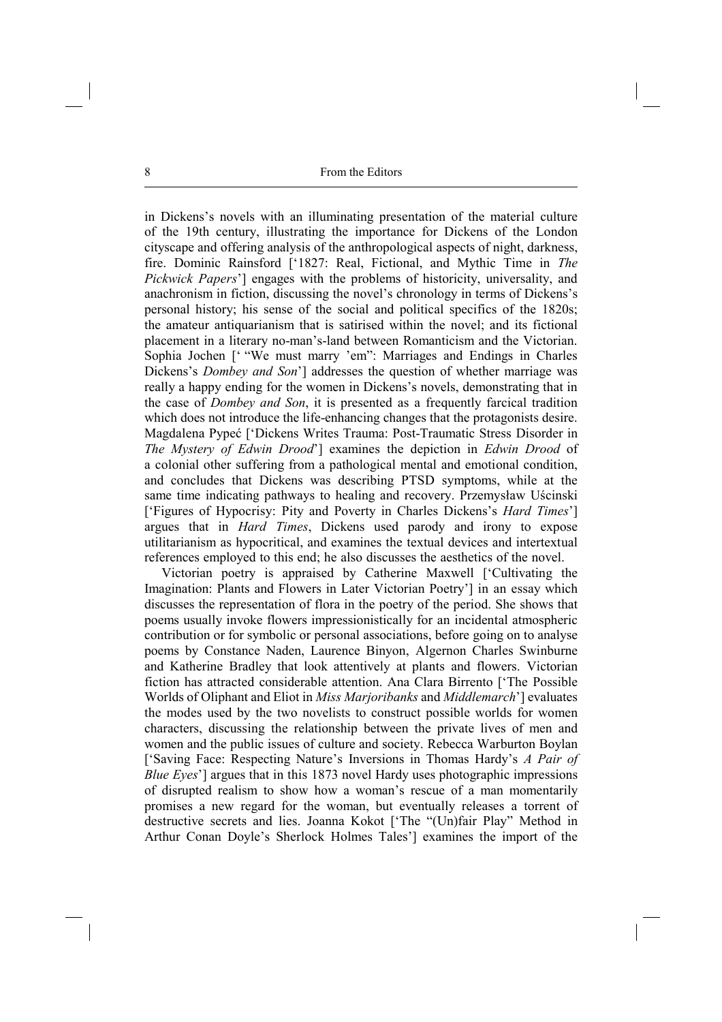in Dickens's novels with an illuminating presentation of the material culture of the 19th century, illustrating the importance for Dickens of the London cityscape and offering analysis of the anthropological aspects of night, darkness, fire. Dominic Rainsford ['1827: Real, Fictional, and Mythic Time in *The Pickwick Papers*'] engages with the problems of historicity, universality, and anachronism in fiction, discussing the novel's chronology in terms of Dickens's personal history; his sense of the social and political specifics of the 1820s; the amateur antiquarianism that is satirised within the novel; and its fictional placement in a literary no-man's-land between Romanticism and the Victorian. Sophia Jochen [' "We must marry 'em": Marriages and Endings in Charles Dickens's *Dombey and Son*'] addresses the question of whether marriage was really a happy ending for the women in Dickens's novels, demonstrating that in the case of *Dombey and Son*, it is presented as a frequently farcical tradition which does not introduce the life-enhancing changes that the protagonists desire. Magdalena Pypeć ['Dickens Writes Trauma: Post-Traumatic Stress Disorder in *The Mystery of Edwin Drood*'] examines the depiction in *Edwin Drood* of a colonial other suffering from a pathological mental and emotional condition, and concludes that Dickens was describing PTSD symptoms, while at the same time indicating pathways to healing and recovery. Przemysław Uścinski ['Figures of Hypocrisy: Pity and Poverty in Charles Dickens's *Hard Times*'] argues that in *Hard Times*, Dickens used parody and irony to expose utilitarianism as hypocritical, and examines the textual devices and intertextual references employed to this end; he also discusses the aesthetics of the novel.

Victorian poetry is appraised by Catherine Maxwell ['Cultivating the Imagination: Plants and Flowers in Later Victorian Poetry'] in an essay which discusses the representation of flora in the poetry of the period. She shows that poems usually invoke flowers impressionistically for an incidental atmospheric contribution or for symbolic or personal associations, before going on to analyse poems by Constance Naden, Laurence Binyon, Algernon Charles Swinburne and Katherine Bradley that look attentively at plants and flowers. Victorian fiction has attracted considerable attention. Ana Clara Birrento ['The Possible Worlds of Oliphant and Eliot in *Miss Marjoribanks* and *Middlemarch*'] evaluates the modes used by the two novelists to construct possible worlds for women characters, discussing the relationship between the private lives of men and women and the public issues of culture and society. Rebecca Warburton Boylan ['Saving Face: Respecting Nature's Inversions in Thomas Hardy's *A Pair of Blue Eyes*'] argues that in this 1873 novel Hardy uses photographic impressions of disrupted realism to show how a woman's rescue of a man momentarily promises a new regard for the woman, but eventually releases a torrent of destructive secrets and lies. Joanna Kokot ['The "(Un)fair Play" Method in Arthur Conan Doyle's Sherlock Holmes Tales'] examines the import of the